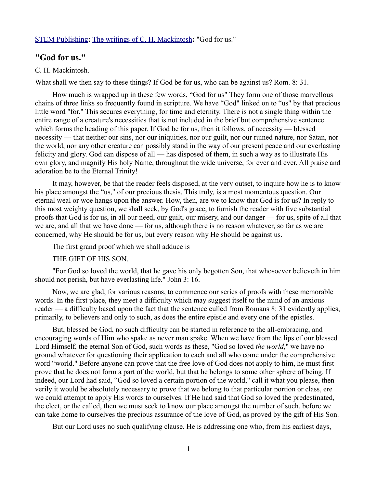### [STEM Publishing](http://www.stempublishing.com/)**:** [The writings of C. H. Mackintosh](http://www.stempublishing.com/authors/mackintosh/index.html)**:** "God for us."

# **"God for us."**

#### C. H. Mackintosh.

What shall we then say to these things? If God be for us, who can be against us? Rom. 8: 31.

How much is wrapped up in these few words, "God for us" They form one of those marvellous chains of three links so frequently found in scripture. We have "God" linked on to "us" by that precious little word "for." This secures everything, for time and eternity. There is not a single thing within the entire range of a creature's necessities that is not included in the brief but comprehensive sentence which forms the heading of this paper. If God be for us, then it follows, of necessity — blessed necessity — that neither our sins, nor our iniquities, nor our guilt, nor our ruined nature, nor Satan, nor the world, nor any other creature can possibly stand in the way of our present peace and our everlasting felicity and glory. God can dispose of all — has disposed of them, in such a way as to illustrate His own glory, and magnify His holy Name, throughout the wide universe, for ever and ever. All praise and adoration be to the Eternal Trinity!

It may, however, be that the reader feels disposed, at the very outset, to inquire how he is to know his place amongst the "us," of our precious thesis. This truly, is a most momentous question. Our eternal weal or woe hangs upon the answer. How, then, are we to know that God is for us? In reply to this most weighty question, we shall seek, by God's grace, to furnish the reader with five substantial proofs that God is for us, in all our need, our guilt, our misery, and our danger — for us, spite of all that we are, and all that we have done — for us, although there is no reason whatever, so far as we are concerned, why He should be for us, but every reason why He should be against us.

The first grand proof which we shall adduce is

THE GIFT OF HIS SON.

"For God so loved the world, that he gave his only begotten Son, that whosoever believeth in him should not perish, but have everlasting life." John 3: 16.

Now, we are glad, for various reasons, to commence our series of proofs with these memorable words. In the first place, they meet a difficulty which may suggest itself to the mind of an anxious reader — a difficulty based upon the fact that the sentence culled from Romans 8: 31 evidently applies, primarily, to believers and only to such, as does the entire epistle and every one of the epistles.

But, blessed be God, no such difficulty can be started in reference to the all-embracing, and encouraging words of Him who spake as never man spake. When we have from the lips of our blessed Lord Himself, the eternal Son of God, such words as these, "God so loved *the world*," we have no ground whatever for questioning their application to each and all who come under the comprehensive word "world." Before anyone can prove that the free love of God does not apply to him, he must first prove that he does not form a part of the world, but that he belongs to some other sphere of being. If indeed, our Lord had said, "God so loved a certain portion of the world," call it what you please, then verily it would be absolutely necessary to prove that we belong to that particular portion or class, ere we could attempt to apply His words to ourselves. If He had said that God so loved the predestinated, the elect, or the called, then we must seek to know our place amongst the number of such, before we can take home to ourselves the precious assurance of the love of God, as proved by the gift of His Son.

But our Lord uses no such qualifying clause. He is addressing one who, from his earliest days,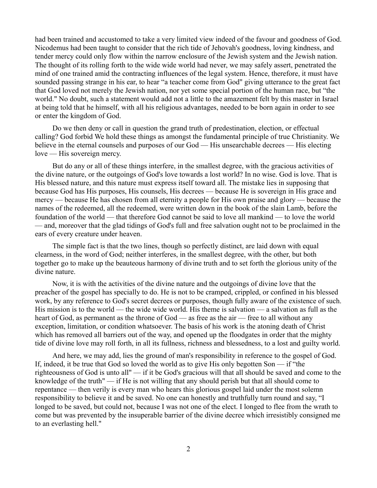had been trained and accustomed to take a very limited view indeed of the favour and goodness of God. Nicodemus had been taught to consider that the rich tide of Jehovah's goodness, loving kindness, and tender mercy could only flow within the narrow enclosure of the Jewish system and the Jewish nation. The thought of its rolling forth to the wide wide world had never, we may safely assert, penetrated the mind of one trained amid the contracting influences of the legal system. Hence, therefore, it must have sounded passing strange in his ear, to hear "a teacher come from God" giving utterance to the great fact that God loved not merely the Jewish nation, nor yet some special portion of the human race, but "the world." No doubt, such a statement would add not a little to the amazement felt by this master in Israel at being told that he himself, with all his religious advantages, needed to be born again in order to see or enter the kingdom of God.

Do we then deny or call in question the grand truth of predestination, election, or effectual calling? God forbid We hold these things as amongst the fundamental principle of true Christianity. We believe in the eternal counsels and purposes of our God — His unsearchable decrees — His electing love — His sovereign mercy.

But do any or all of these things interfere, in the smallest degree, with the gracious activities of the divine nature, or the outgoings of God's love towards a lost world? In no wise. God is love. That is His blessed nature, and this nature must express itself toward all. The mistake lies in supposing that because God has His purposes, His counsels, His decrees — because He is sovereign in His grace and mercy — because He has chosen from all eternity a people for His own praise and glory — because the names of the redeemed, all the redeemed, were written down in the book of the slain Lamb, before the foundation of the world — that therefore God cannot be said to love all mankind — to love the world — and, moreover that the glad tidings of God's full and free salvation ought not to be proclaimed in the ears of every creature under heaven.

The simple fact is that the two lines, though so perfectly distinct, are laid down with equal clearness, in the word of God; neither interferes, in the smallest degree, with the other, but both together go to make up the beauteous harmony of divine truth and to set forth the glorious unity of the divine nature.

Now, it is with the activities of the divine nature and the outgoings of divine love that the preacher of the gospel has specially to do. He is not to be cramped, crippled, or confined in his blessed work, by any reference to God's secret decrees or purposes, though fully aware of the existence of such. His mission is to the world — the wide wide world. His theme is salvation — a salvation as full as the heart of God, as permanent as the throne of God — as free as the air — free to all without any exception, limitation, or condition whatsoever. The basis of his work is the atoning death of Christ which has removed all barriers out of the way, and opened up the floodgates in order that the mighty tide of divine love may roll forth, in all its fullness, richness and blessedness, to a lost and guilty world.

And here, we may add, lies the ground of man's responsibility in reference to the gospel of God. If, indeed, it be true that God so loved the world as to give His only begotten Son — if "the righteousness of God is unto all" — if it be God's gracious will that all should be saved and come to the knowledge of the truth"  $\overline{\phantom{a}}$  if He is not willing that any should perish but that all should come to repentance — then verily is every man who hears this glorious gospel laid under the most solemn responsibility to believe it and be saved. No one can honestly and truthfully turn round and say, "I longed to be saved, but could not, because I was not one of the elect. I longed to flee from the wrath to come but was prevented by the insuperable barrier of the divine decree which irresistibly consigned me to an everlasting hell."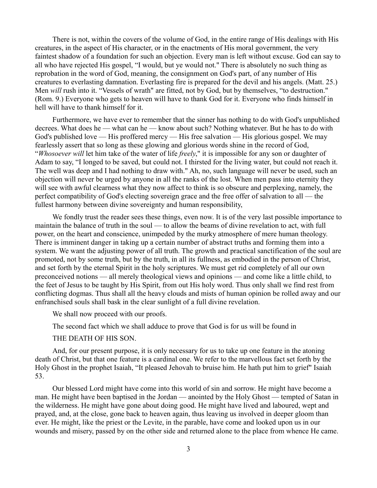There is not, within the covers of the volume of God, in the entire range of His dealings with His creatures, in the aspect of His character, or in the enactments of His moral government, the very faintest shadow of a foundation for such an objection. Every man is left without excuse. God can say to all who have rejected His gospel, "I would, but ye would not." There is absolutely no such thing as reprobation in the word of God, meaning, the consignment on God's part, of any number of His creatures to everlasting damnation. Everlasting fire is prepared for the devil and his angels. (Matt. 25.) Men *will* rush into it. "Vessels of wrath" are fitted, not by God, but by themselves, "to destruction." (Rom. 9.) Everyone who gets to heaven will have to thank God for it. Everyone who finds himself in hell will have to thank himself for it.

Furthermore, we have ever to remember that the sinner has nothing to do with God's unpublished decrees. What does he — what can he — know about such? Nothing whatever. But he has to do with God's published love — His proffered mercy — His free salvation — His glorious gospel. We may fearlessly assert that so long as these glowing and glorious words shine in the record of God, "*Whosoever will* let him take of the water of life *freely*," it is impossible for any son or daughter of Adam to say, "I longed to be saved, but could not. I thirsted for the living water, but could not reach it. The well was deep and I had nothing to draw with." Ah, no, such language will never be used, such an objection will never be urged by anyone in all the ranks of the lost. When men pass into eternity they will see with awful clearness what they now affect to think is so obscure and perplexing, namely, the perfect compatibility of God's electing sovereign grace and the free offer of salvation to all — the fullest harmony between divine sovereignty and human responsibility,

We fondly trust the reader sees these things, even now. It is of the very last possible importance to maintain the balance of truth in the soul — to allow the beams of divine revelation to act, with full power, on the heart and conscience, unimpeded by the murky atmosphere of mere human theology. There is imminent danger in taking up a certain number of abstract truths and forming them into a system. We want the adjusting power of all truth. The growth and practical sanctification of the soul are promoted, not by some truth, but by the truth, in all its fullness, as embodied in the person of Christ, and set forth by the eternal Spirit in the holy scriptures. We must get rid completely of all our own preconceived notions — all merely theological views and opinions — and come like a little child, to the feet of Jesus to be taught by His Spirit, from out His holy word. Thus only shall we find rest from conflicting dogmas. Thus shall all the heavy clouds and mists of human opinion be rolled away and our enfranchised souls shall bask in the clear sunlight of a full divine revelation.

We shall now proceed with our proofs.

The second fact which we shall adduce to prove that God is for us will be found in

### THE DEATH OF HIS SON.

And, for our present purpose, it is only necessary for us to take up one feature in the atoning death of Christ, but that one feature is a cardinal one. We refer to the marvellous fact set forth by the Holy Ghost in the prophet Isaiah, "It pleased Jehovah to bruise him. He hath put him to grief" Isaiah 53.

Our blessed Lord might have come into this world of sin and sorrow. He might have become a man. He might have been baptised in the Jordan — anointed by the Holy Ghost — tempted of Satan in the wilderness. He might have gone about doing good. He might have lived and laboured, wept and prayed, and, at the close, gone back to heaven again, thus leaving us involved in deeper gloom than ever. He might, like the priest or the Levite, in the parable, have come and looked upon us in our wounds and misery, passed by on the other side and returned alone to the place from whence He came.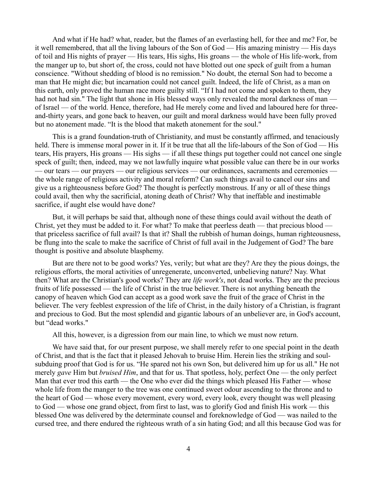And what if He had? what, reader, but the flames of an everlasting hell, for thee and me? For, be it well remembered, that all the living labours of the Son of God — His amazing ministry — His days of toil and His nights of prayer — His tears, His sighs, His groans — the whole of His life-work, from the manger up to, but short of, the cross, could not have blotted out one speck of guilt from a human conscience. "Without shedding of blood is no remission." No doubt, the eternal Son had to become a man that He might die; but incarnation could not cancel guilt. Indeed, the life of Christ, as a man on this earth, only proved the human race more guilty still. "If I had not come and spoken to them, they had not had sin." The light that shone in His blessed ways only revealed the moral darkness of man of Israel — of the world. Hence, therefore, had He merely come and lived and laboured here for threeand-thirty years, and gone back to heaven, our guilt and moral darkness would have been fully proved but no atonement made. "It is the blood that maketh atonement for the soul."

This is a grand foundation-truth of Christianity, and must be constantly affirmed, and tenaciously held. There is immense moral power in it. If it be true that all the life-labours of the Son of God — His tears, His prayers, His groans — His sighs — if all these things put together could not cancel one single speck of guilt; then, indeed, may we not lawfully inquire what possible value can there be in our works — our tears — our prayers — our religious services — our ordinances, sacraments and ceremonies the whole range of religious activity and moral reform? Can such things avail to cancel our sins and give us a righteousness before God? The thought is perfectly monstrous. If any or all of these things could avail, then why the sacrificial, atoning death of Christ? Why that ineffable and inestimable sacrifice, if aught else would have done?

But, it will perhaps be said that, although none of these things could avail without the death of Christ, yet they must be added to it. For what? To make that peerless death — that precious blood that priceless sacrifice of full avail? Is that it? Shall the rubbish of human doings, human righteousness, be flung into the scale to make the sacrifice of Christ of full avail in the Judgement of God? The bare thought is positive and absolute blasphemy.

But are there not to be good works? Yes, verily; but what are they? Are they the pious doings, the religious efforts, the moral activities of unregenerate, unconverted, unbelieving nature? Nay. What then? What are the Christian's good works? They are *life work's*, not dead works. They are the precious fruits of life possessed — the life of Christ in the true believer. There is not anything beneath the canopy of heaven which God can accept as a good work save the fruit of the grace of Christ in the believer. The very feeblest expression of the life of Christ, in the daily history of a Christian, is fragrant and precious to God. But the most splendid and gigantic labours of an unbeliever are, in God's account, but "dead works."

All this, however, is a digression from our main line, to which we must now return.

We have said that, for our present purpose, we shall merely refer to one special point in the death of Christ, and that is the fact that it pleased Jehovah to bruise Him. Herein lies the striking and soulsubduing proof that God is for us. "He spared not his own Son, but delivered him up for us all." He not merely *gave* Him but *bruised Him*, and that for us. That spotless, holy, perfect One — the only perfect Man that ever trod this earth — the One who ever did the things which pleased His Father — whose whole life from the manger to the tree was one continued sweet odour ascending to the throne and to the heart of God — whose every movement, every word, every look, every thought was well pleasing to God — whose one grand object, from first to last, was to glorify God and finish His work — this blessed One was delivered by the determinate counsel and foreknowledge of God — was nailed to the cursed tree, and there endured the righteous wrath of a sin hating God; and all this because God was for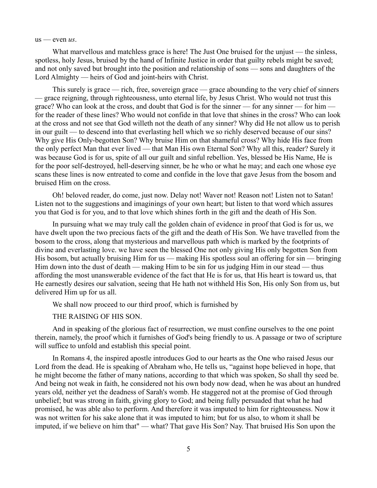us — even *us*.

What marvellous and matchless grace is here! The Just One bruised for the uniust — the sinless, spotless, holy Jesus, bruised by the hand of Infinite Justice in order that guilty rebels might be saved; and not only saved but brought into the position and relationship of sons — sons and daughters of the Lord Almighty — heirs of God and joint-heirs with Christ.

This surely is grace — rich, free, sovereign grace — grace abounding to the very chief of sinners — grace reigning, through righteousness, unto eternal life, by Jesus Christ. Who would not trust this grace? Who can look at the cross, and doubt that God is for the sinner — for any sinner — for him for the reader of these lines? Who would not confide in that love that shines in the cross? Who can look at the cross and not see that God willeth not the death of any sinner? Why did He not allow us to perish in our guilt — to descend into that everlasting hell which we so richly deserved because of our sins? Why give His Only-begotten Son? Why bruise Him on that shameful cross? Why hide His face from the only perfect Man that ever lived — that Man His own Eternal Son? Why all this, reader? Surely it was because God is for us, spite of all our guilt and sinful rebellion. Yes, blessed be His Name, He is for the poor self-destroyed, hell-deserving sinner, be he who or what he may; and each one whose eye scans these lines is now entreated to come and confide in the love that gave Jesus from the bosom and bruised Him on the cross.

Oh! beloved reader, do come, just now. Delay not! Waver not! Reason not! Listen not to Satan! Listen not to the suggestions and imaginings of your own heart; but listen to that word which assures you that God is for you, and to that love which shines forth in the gift and the death of His Son.

In pursuing what we may truly call the golden chain of evidence in proof that God is for us, we have dwelt upon the two precious facts of the gift and the death of His Son. We have travelled from the bosom to the cross, along that mysterious and marvellous path which is marked by the footprints of divine and everlasting love. we have seen the blessed One not only giving His only begotten Son from His bosom, but actually bruising Him for us — making His spotless soul an offering for sin — bringing Him down into the dust of death — making Him to be sin for us judging Him in our stead — thus affording the most unanswerable evidence of the fact that He is for us, that His heart is toward us, that He earnestly desires our salvation, seeing that He hath not withheld His Son, His only Son from us, but delivered Him up for us all.

We shall now proceed to our third proof, which is furnished by

THE RAISING OF HIS SON.

And in speaking of the glorious fact of resurrection, we must confine ourselves to the one point therein, namely, the proof which it furnishes of God's being friendly to us. A passage or two of scripture will suffice to unfold and establish this special point.

In Romans 4, the inspired apostle introduces God to our hearts as the One who raised Jesus our Lord from the dead. He is speaking of Abraham who, He tells us, "against hope believed in hope, that he might become the father of many nations, according to that which was spoken, So shall thy seed be. And being not weak in faith, he considered not his own body now dead, when he was about an hundred years old, neither yet the deadness of Sarah's womb. He staggered not at the promise of God through unbelief; but was strong in faith, giving glory to God; and being fully persuaded that what he had promised, he was able also to perform. And therefore it was imputed to him for righteousness. Now it was not written for his sake alone that it was imputed to him; but for us also, to whom it shall be imputed, if we believe on him that" — what? That gave His Son? Nay. That bruised His Son upon the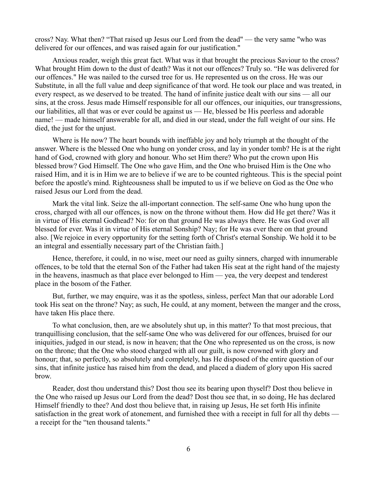cross? Nay. What then? "That raised up Jesus our Lord from the dead" — the very same "who was delivered for our offences, and was raised again for our justification."

Anxious reader, weigh this great fact. What was it that brought the precious Saviour to the cross? What brought Him down to the dust of death? Was it not our offences? Truly so. "He was delivered for our offences." He was nailed to the cursed tree for us. He represented us on the cross. He was our Substitute, in all the full value and deep significance of that word. He took our place and was treated, in every respect, as we deserved to be treated. The hand of infinite justice dealt with our sins — all our sins, at the cross. Jesus made Himself responsible for all our offences, our iniquities, our transgressions, our liabilities, all that was or ever could be against us — He, blessed be His peerless and adorable name! — made himself answerable for all, and died in our stead, under the full weight of our sins. He died, the just for the unjust.

Where is He now? The heart bounds with ineffable joy and holy triumph at the thought of the answer. Where is the blessed One who hung on yonder cross, and lay in yonder tomb? He is at the right hand of God, crowned with glory and honour. Who set Him there? Who put the crown upon His blessed brow? God Himself. The One who gave Him, and the One who bruised Him is the One who raised Him, and it is in Him we are to believe if we are to be counted righteous. This is the special point before the apostle's mind. Righteousness shall be imputed to us if we believe on God as the One who raised Jesus our Lord from the dead.

Mark the vital link. Seize the all-important connection. The self-same One who hung upon the cross, charged with all our offences, is now on the throne without them. How did He get there? Was it in virtue of His eternal Godhead? No: for on that ground He was always there. He was God over all blessed for ever. Was it in virtue of His eternal Sonship? Nay; for He was ever there on that ground also. [We rejoice in every opportunity for the setting forth of Christ's eternal Sonship. We hold it to be an integral and essentially necessary part of the Christian faith.]

Hence, therefore, it could, in no wise, meet our need as guilty sinners, charged with innumerable offences, to be told that the eternal Son of the Father had taken His seat at the right hand of the majesty in the heavens, inasmuch as that place ever belonged to Him — yea, the very deepest and tenderest place in the bosom of the Father.

But, further, we may enquire, was it as the spotless, sinless, perfect Man that our adorable Lord took His seat on the throne? Nay; as such, He could, at any moment, between the manger and the cross, have taken His place there.

To what conclusion, then, are we absolutely shut up, in this matter? To that most precious, that tranquillising conclusion, that the self-same One who was delivered for our offences, bruised for our iniquities, judged in our stead, is now in heaven; that the One who represented us on the cross, is now on the throne; that the One who stood charged with all our guilt, is now crowned with glory and honour; that, so perfectly, so absolutely and completely, has He disposed of the entire question of our sins, that infinite justice has raised him from the dead, and placed a diadem of glory upon His sacred brow.

Reader, dost thou understand this? Dost thou see its bearing upon thyself? Dost thou believe in the One who raised up Jesus our Lord from the dead? Dost thou see that, in so doing, He has declared Himself friendly to thee? And dost thou believe that, in raising up Jesus, He set forth His infinite satisfaction in the great work of atonement, and furnished thee with a receipt in full for all thy debts a receipt for the "ten thousand talents."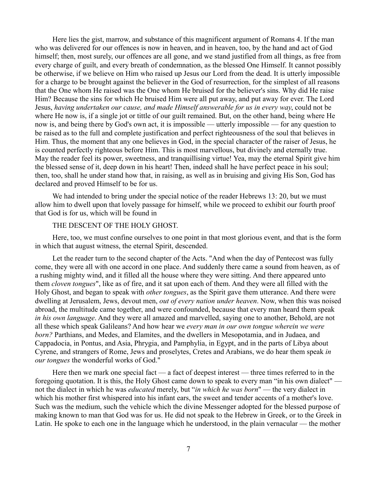Here lies the gist, marrow, and substance of this magnificent argument of Romans 4. If the man who was delivered for our offences is now in heaven, and in heaven, too, by the hand and act of God himself; then, most surely, our offences are all gone, and we stand justified from all things, as free from every charge of guilt, and every breath of condemnation, as the blessed One Himself. It cannot possibly be otherwise, if we believe on Him who raised up Jesus our Lord from the dead. It is utterly impossible for a charge to be brought against the believer in the God of resurrection, for the simplest of all reasons that the One whom He raised was the One whom He bruised for the believer's sins. Why did He raise Him? Because the sins for which He bruised Him were all put away, and put away for ever. The Lord Jesus, *having undertaken our cause, and made Himself answerable for us in every way*, could not be where He now is, if a single jot or tittle of our guilt remained. But, on the other hand, being where He now is, and being there by God's own act, it is impossible — utterly impossible — for any question to be raised as to the full and complete justification and perfect righteousness of the soul that believes in Him. Thus, the moment that any one believes in God, in the special character of the raiser of Jesus, he is counted perfectly righteous before Him. This is most marvellous, but divinely and eternally true. May the reader feel its power, sweetness, and tranquillising virtue! Yea, may the eternal Spirit give him the blessed sense of it, deep down in his heart! Then, indeed shall he have perfect peace in his soul; then, too, shall he under stand how that, in raising, as well as in bruising and giving His Son, God has declared and proved Himself to be for us.

We had intended to bring under the special notice of the reader Hebrews 13: 20, but we must allow him to dwell upon that lovely passage for himself, while we proceed to exhibit our fourth proof that God is for us, which will be found in

### THE DESCENT OF THE HOLY GHOST.

Here, too, we must confine ourselves to one point in that most glorious event, and that is the form in which that august witness, the eternal Spirit, descended.

Let the reader turn to the second chapter of the Acts. "And when the day of Pentecost was fully come, they were all with one accord in one place. And suddenly there came a sound from heaven, as of a rushing mighty wind, and it filled all the house where they were sitting. And there appeared unto them *cloven tongues*", like as of fire, and it sat upon each of them. And they were all filled with the Holy Ghost, and began to speak with *other tongues*, as the Spirit gave them utterance. And there were dwelling at Jerusalem, Jews, devout men, *out of every nation under heaven*. Now, when this was noised abroad, the multitude came together, and were confounded, because that every man heard them speak *in his own language*. And they were all amazed and marvelled, saying one to another, Behold, are not all these which speak Galileans? And how hear we *every man in our own tongue wherein we were born?* Parthians, and Medes, and Elamites, and the dwellers in Mesopotamia, and in Judaea, and Cappadocia, in Pontus, and Asia, Phrygia, and Pamphylia, in Egypt, and in the parts of Libya about Cyrene, and strangers of Rome, Jews and proselytes, Cretes and Arabians, we do hear them speak *in our tongues* the wonderful works of God."

Here then we mark one special fact — a fact of deepest interest — three times referred to in the foregoing quotation. It is this, the Holy Ghost came down to speak to every man "in his own dialect" not the dialect in which he was *educated* merely, but "*in which he was born*" — the very dialect in which his mother first whispered into his infant ears, the sweet and tender accents of a mother's love. Such was the medium, such the vehicle which the divine Messenger adopted for the blessed purpose of making known to man that God was for us. He did not speak to the Hebrew in Greek, or to the Greek in Latin. He spoke to each one in the language which he understood, in the plain vernacular — the mother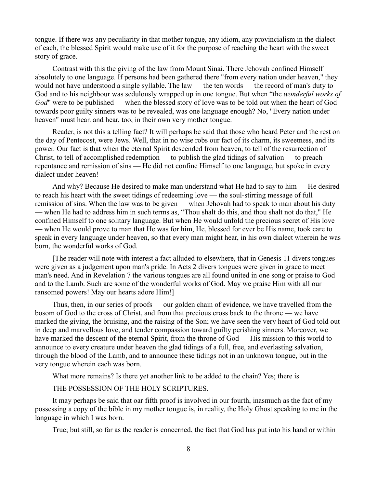tongue. If there was any peculiarity in that mother tongue, any idiom, any provincialism in the dialect of each, the blessed Spirit would make use of it for the purpose of reaching the heart with the sweet story of grace.

Contrast with this the giving of the law from Mount Sinai. There Jehovah confined Himself absolutely to one language. If persons had been gathered there "from every nation under heaven," they would not have understood a single syllable. The law — the ten words — the record of man's duty to God and to his neighbour was sedulously wrapped up in one tongue. But when "the *wonderful works of God*" were to be published — when the blessed story of love was to be told out when the heart of God towards poor guilty sinners was to be revealed, was one language enough? No, "Every nation under heaven" must hear. and hear, too, in their own very mother tongue.

Reader, is not this a telling fact? It will perhaps be said that those who heard Peter and the rest on the day of Pentecost, were Jews. Well, that in no wise robs our fact of its charm, its sweetness, and its power. Our fact is that when the eternal Spirit descended from heaven, to tell of the resurrection of Christ, to tell of accomplished redemption — to publish the glad tidings of salvation — to preach repentance and remission of sins — He did not confine Himself to one language, but spoke in every dialect under heaven!

And why? Because He desired to make man understand what He had to say to him — He desired to reach his heart with the sweet tidings of redeeming love — the soul-stirring message of full remission of sins. When the law was to be given — when Jehovah had to speak to man about his duty — when He had to address him in such terms as, "Thou shalt do this, and thou shalt not do that," He confined Himself to one solitary language. But when He would unfold the precious secret of His love — when He would prove to man that He was for him, He, blessed for ever be His name, took care to speak in every language under heaven, so that every man might hear, in his own dialect wherein he was born, the wonderful works of God.

[The reader will note with interest a fact alluded to elsewhere, that in Genesis 11 divers tongues were given as a judgement upon man's pride. In Acts 2 divers tongues were given in grace to meet man's need. And in Revelation 7 the various tongues are all found united in one song or praise to God and to the Lamb. Such are some of the wonderful works of God. May we praise Him with all our ransomed powers! May our hearts adore Him!]

Thus, then, in our series of proofs — our golden chain of evidence, we have travelled from the bosom of God to the cross of Christ, and from that precious cross back to the throne — we have marked the giving, the bruising, and the raising of the Son; we have seen the very heart of God told out in deep and marvellous love, and tender compassion toward guilty perishing sinners. Moreover, we have marked the descent of the eternal Spirit, from the throne of God — His mission to this world to announce to every creature under heaven the glad tidings of a full, free, and everlasting salvation, through the blood of the Lamb, and to announce these tidings not in an unknown tongue, but in the very tongue wherein each was born.

What more remains? Is there yet another link to be added to the chain? Yes; there is

# THE POSSESSION OF THE HOLY SCRIPTURES.

It may perhaps be said that oar fifth proof is involved in our fourth, inasmuch as the fact of my possessing a copy of the bible in my mother tongue is, in reality, the Holy Ghost speaking to me in the language in which I was born.

True; but still, so far as the reader is concerned, the fact that God has put into his hand or within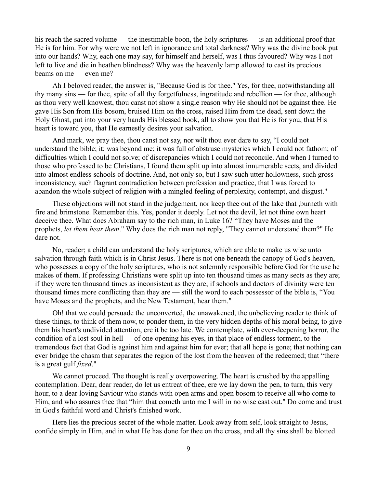his reach the sacred volume — the inestimable boon, the holy scriptures — is an additional proof that He is for him. For why were we not left in ignorance and total darkness? Why was the divine book put into our hands? Why, each one may say, for himself and herself, was I thus favoured? Why was I not left to live and die in heathen blindness? Why was the heavenly lamp allowed to cast its precious beams on me — even me?

Ah I beloved reader, the answer is, "Because God is for thee." Yes, for thee, notwithstanding all thy many sins — for thee, spite of all thy forgetfulness, ingratitude and rebellion — for thee, although as thou very well knowest, thou canst not show a single reason why He should not be against thee. He gave His Son from His bosom, bruised Him on the cross, raised Him from the dead, sent down the Holy Ghost, put into your very hands His blessed book, all to show you that He is for you, that His heart is toward you, that He earnestly desires your salvation.

And mark, we pray thee, thou canst not say, nor wilt thou ever dare to say, "I could not understand the bible; it; was beyond me; it was full of abstruse mysteries which I could not fathom; of difficulties which I could not solve; of discrepancies which I could not reconcile. And when I turned to those who professed to be Christians, I found them split up into almost innumerable sects, and divided into almost endless schools of doctrine. And, not only so, but I saw such utter hollowness, such gross inconsistency, such flagrant contradiction between profession and practice, that I was forced to abandon the whole subject of religion with a mingled feeling of perplexity, contempt, and disgust."

These objections will not stand in the judgement, nor keep thee out of the lake that ,burneth with fire and brimstone. Remember this. Yes, ponder it deeply. Let not the devil, let not thine own heart deceive thee. What does Abraham say to the rich man, in Luke 16? "They have Moses and the prophets, *let them hear them*." Why does the rich man not reply, "They cannot understand them?" He dare not.

No, reader; a child can understand the holy scriptures, which are able to make us wise unto salvation through faith which is in Christ Jesus. There is not one beneath the canopy of God's heaven, who possesses a copy of the holy scriptures, who is not solemnly responsible before God for the use he makes of them. If professing Christians were split up into ten thousand times as many sects as they are; if they were ten thousand times as inconsistent as they are; if schools and doctors of divinity were ten thousand times more conflicting than they are — still the word to each possessor of the bible is, "You have Moses and the prophets, and the New Testament, hear them."

Oh! that we could persuade the unconverted, the unawakened, the unbelieving reader to think of these things, to think of them now, to ponder them, in the very hidden depths of his moral being, to give them his heart's undivided attention, ere it be too late. We contemplate, with ever-deepening horror, the condition of a lost soul in hell — of one opening his eyes, in that place of endless torment, to the tremendous fact that God is against him and against him for ever; that all hope is gone; that nothing can ever bridge the chasm that separates the region of the lost from the heaven of the redeemed; that "there is a great gulf *fixed*."

We cannot proceed. The thought is really overpowering. The heart is crushed by the appalling contemplation. Dear, dear reader, do let us entreat of thee, ere we lay down the pen, to turn, this very hour, to a dear loving Saviour who stands with open arms and open bosom to receive all who come to Him, and who assures thee that "him that cometh unto me I will in no wise cast out." Do come and trust in God's faithful word and Christ's finished work.

Here lies the precious secret of the whole matter. Look away from self, look straight to Jesus, confide simply in Him, and in what He has done for thee on the cross, and all thy sins shall be blotted